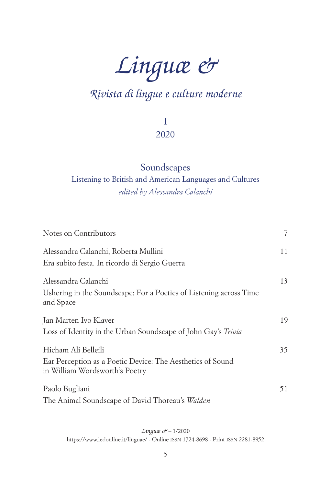# *Linguæ &*

# *Rivista di lingue e culture moderne*

1 2020

# Soundscapes

## Listening to British and American Languages and Cultures *edited by Alessandra Calanchi*

| Notes on Contributors                                                                        | 7  |
|----------------------------------------------------------------------------------------------|----|
| Alessandra Calanchi, Roberta Mullini                                                         | 11 |
| Era subito festa. In ricordo di Sergio Guerra                                                |    |
| Alessandra Calanchi                                                                          | 13 |
| Ushering in the Soundscape: For a Poetics of Listening across Time<br>and Space              |    |
| Jan Marten Ivo Klaver                                                                        | 19 |
| Loss of Identity in the Urban Soundscape of John Gay's Trivia                                |    |
| Hicham Ali Belleili                                                                          | 35 |
| Ear Perception as a Poetic Device: The Aesthetics of Sound<br>in William Wordsworth's Poetry |    |
| Paolo Bugliani                                                                               | 51 |
| The Animal Soundscape of David Thoreau's Walden                                              |    |

<span id="page-0-0"></span>*Linguæ &* – 1/2020 [https://www.ledonline.it/linguae/ - Online](https://www.ledonline.it/linguae/) issn 1724-8698 - Print issn 2281-8952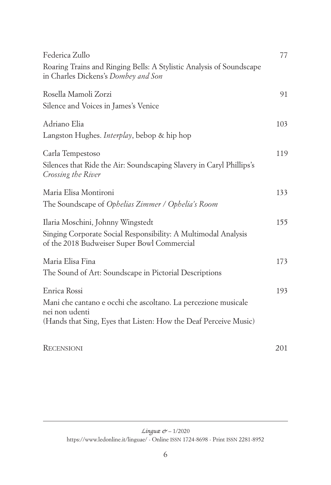| Federica Zullo                                                                                                | 77  |
|---------------------------------------------------------------------------------------------------------------|-----|
| Roaring Trains and Ringing Bells: A Stylistic Analysis of Soundscape<br>in Charles Dickens's Dombey and Son   |     |
| Rosella Mamoli Zorzi                                                                                          | 91  |
| Silence and Voices in James's Venice                                                                          |     |
| Adriano Elia                                                                                                  | 103 |
| Langston Hughes. <i>Interplay</i> , bebop & hip hop                                                           |     |
| Carla Tempestoso                                                                                              | 119 |
| Silences that Ride the Air: Soundscaping Slavery in Caryl Phillips's<br>Crossing the River                    |     |
| Maria Elisa Montironi                                                                                         | 133 |
| The Soundscape of Ophelias Zimmer / Ophelia's Room                                                            |     |
| Ilaria Moschini, Johnny Wingstedt                                                                             | 155 |
| Singing Corporate Social Responsibility: A Multimodal Analysis<br>of the 2018 Budweiser Super Bowl Commercial |     |
| Maria Elisa Fina                                                                                              | 173 |
| The Sound of Art: Soundscape in Pictorial Descriptions                                                        |     |
| Enrica Rossi                                                                                                  | 193 |
| Mani che cantano e occhi che ascoltano. La percezione musicale                                                |     |
| nei non udenti<br>(Hands that Sing, Eyes that Listen: How the Deaf Perceive Music)                            |     |
| <b>RECENSIONI</b>                                                                                             | 201 |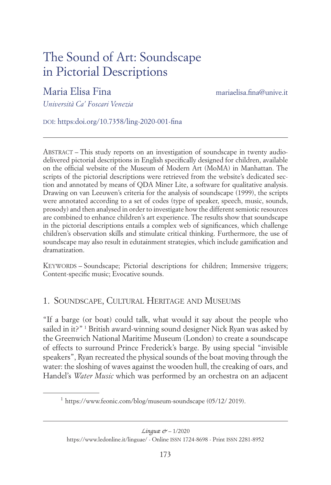# The Sound of Art: Soundscape in Pictorial Descriptions

## Maria Elisa Fina [mariaelisa.fina@unive.it](mailto:mariaelisa.fina@unive.it)

*Università Ca' Foscari Venezia*

doi:<https:doi.org/10.7358/ling-2020-001-fina>

Abstract – This study reports on an investigation of soundscape in twenty audiodelivered pictorial descriptions in English specifically designed for children, available on the official website of the Museum of Modern Art (MoMA) in Manhattan. The scripts of the pictorial descriptions were retrieved from the website's dedicated section and annotated by means of QDA Miner Lite, a software for qualitative analysis. Drawing on van Leeuwen's criteria for the analysis of soundscape (1999), the scripts were annotated according to a set of codes (type of speaker, speech, music, sounds, prosody) and then analysed in order to investigate how the different semiotic resources are combined to enhance children's art experience. The results show that soundscape in the pictorial descriptions entails a complex web of significances, which challenge children's observation skills and stimulate critical thinking. Furthermore, the use of soundscape may also result in edutainment strategies, which include gamification and dramatization.

Keywords – Soundscape; Pictorial descriptions for children; Immersive triggers; Content-specific music; Evocative sounds.

#### 1. Soundscape, Cultural Heritage and Museums

"If a barge (or boat) could talk, what would it say about the people who sailed in it?" 1 British award-winning sound designer Nick Ryan was asked by the Greenwich National Maritime Museum (London) to create a soundscape of effects to surround Prince Frederick's barge. By using special "invisible speakers", Ryan recreated the physical sounds of the boat moving through the water: the sloshing of waves against the wooden hull, the creaking of oars, and Handel's *Water Music* which was performed by an orchestra on an adjacent

<sup>1</sup> <https://www.feonic.com/blog/museum-soundscape> (05/12/ 2019).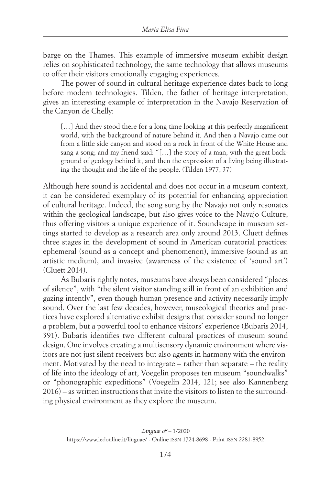barge on the Thames. This example of immersive museum exhibit design relies on sophisticated technology, the same technology that allows museums to offer their visitors emotionally engaging experiences.

The power of sound in cultural heritage experience dates back to long before modern technologies. Tilden, the father of heritage interpretation, gives an interesting example of interpretation in the Navajo Reservation of the Canyon de Chelly:

[...] And they stood there for a long time looking at this perfectly magnificent world, with the background of nature behind it. And then a Navajo came out from a little side canyon and stood on a rock in front of the White House and sang a song; and my friend said: "[…] the story of a man, with the great background of geology behind it, and then the expression of a living being illustrating the thought and the life of the people. (Tilden 1977, 37)

Although here sound is accidental and does not occur in a museum context, it can be considered exemplary of its potential for enhancing appreciation of cultural heritage. Indeed, the song sung by the Navajo not only resonates within the geological landscape, but also gives voice to the Navajo Culture, thus offering visitors a unique experience of it. Soundscape in museum settings started to develop as a research area only around 2013. Cluett defines three stages in the development of sound in American curatorial practices: ephemeral (sound as a concept and phenomenon), immersive (sound as an artistic medium), and invasive (awareness of the existence of 'sound art') (Cluett 2014).

As Bubaris rightly notes, museums have always been considered "places of silence", with "the silent visitor standing still in front of an exhibition and gazing intently", even though human presence and activity necessarily imply sound. Over the last few decades, however, museological theories and practices have explored alternative exhibit designs that consider sound no longer a problem, but a powerful tool to enhance visitors' experience (Bubaris 2014, 391). Bubaris identifies two different cultural practices of museum sound design. One involves creating a multisensory dynamic environment where visitors are not just silent receivers but also agents in harmony with the environment. Motivated by the need to integrate – rather than separate – the reality of life into the ideology of art, Voegelin proposes ten museum "soundwalks" or "phonographic expeditions" (Voegelin 2014, 121; see also Kannenberg 2016) – as written instructions that invite the visitors to listen to the surrounding physical environment as they explore the museum.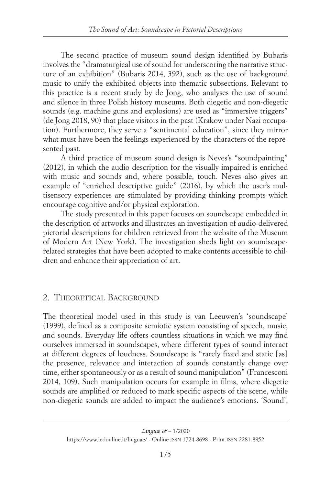The second practice of museum sound design identified by Bubaris involves the "dramaturgical use of sound for underscoring the narrative structure of an exhibition" (Bubaris 2014, 392), such as the use of background music to unify the exhibited objects into thematic subsections. Relevant to this practice is a recent study by de Jong, who analyses the use of sound and silence in three Polish history museums. Both diegetic and non-diegetic sounds (e.g. machine guns and explosions) are used as "immersive triggers" (de Jong 2018, 90) that place visitors in the past (Krakow under Nazi occupation). Furthermore, they serve a "sentimental education", since they mirror what must have been the feelings experienced by the characters of the represented past.

A third practice of museum sound design is Neves's "soundpainting" (2012), in which the audio description for the visually impaired is enriched with music and sounds and, where possible, touch. Neves also gives an example of "enriched descriptive guide" (2016), by which the user's multisensory experiences are stimulated by providing thinking prompts which encourage cognitive and/or physical exploration.

The study presented in this paper focuses on soundscape embedded in the description of artworks and illustrates an investigation of audio-delivered pictorial descriptions for children retrieved from the website of the Museum of Modern Art (New York). The investigation sheds light on soundscaperelated strategies that have been adopted to make contents accessible to children and enhance their appreciation of art.

#### 2. THEORETICAL BACKGROUND

The theoretical model used in this study is van Leeuwen's 'soundscape' (1999), defined as a composite semiotic system consisting of speech, music, and sounds. Everyday life offers countless situations in which we may find ourselves immersed in soundscapes, where different types of sound interact at different degrees of loudness. Soundscape is "rarely fixed and static [as] the presence, relevance and interaction of sounds constantly change over time, either spontaneously or as a result of sound manipulation" (Francesconi 2014, 109). Such manipulation occurs for example in films, where diegetic sounds are amplified or reduced to mark specific aspects of the scene, while non-diegetic sounds are added to impact the audience's emotions. 'Sound',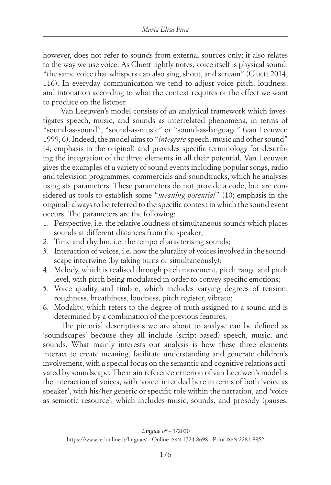however, does not refer to sounds from external sources only; it also relates to the way we use voice. As Cluett rightly notes, voice itself is physical sound: "the same voice that whispers can also sing, shout, and scream" (Cluett 2014, 116). In everyday communication we tend to adjust voice pitch, loudness, and intonation according to what the context requires or the effect we want to produce on the listener.

Van Leeuwen's model consists of an analytical framework which investigates speech, music, and sounds as interrelated phenomena, in terms of "sound-as-sound", "sound-as-music" or "sound-as-language" (van Leeuwen 1999, 6). Indeed, the model aims to "*integrate* speech, music and other sound" (4; emphasis in the original) and provides specific terminology for describing the integration of the three elements in all their potential. Van Leeuwen gives the examples of a variety of sound events including popular songs, radio and television programmes, commercials and soundtracks, which he analyses using six parameters. These parameters do not provide a code, but are considered as tools to establish some "*meaning potential*" (10; emphasis in the original) always to be referred to the specific context in which the sound event occurs. The parameters are the following:

- 1. Perspective, i.e. the relative loudness of simultaneous sounds which places sounds at different distances from the speaker;
- 2. Time and rhythm, i.e. the tempo characterising sounds;
- 3. Interaction of voices, i.e. how the plurality of voices involved in the soundscape intertwine (by taking turns or simultaneously);
- 4. Melody, which is realised through pitch movement, pitch range and pitch level, with pitch being modulated in order to convey specific emotions;
- 5. Voice quality and timbre, which includes varying degrees of tension, roughness, breathiness, loudness, pitch register, vibrato;
- 6. Modality, which refers to the degree of truth assigned to a sound and is determined by a combination of the previous features.

The pictorial descriptions we are about to analyse can be defined as 'soundscapes' because they all include (script-based) speech, music, and sounds. What mainly interests our analysis is how these three elements interact to create meaning, facilitate understanding and generate children's involvement, with a special focus on the semantic and cognitive relations activated by soundscape. The main reference criterion of van Leeuwen's model is the interaction of voices, with 'voice' intended here in terms of both 'voice as speaker', with his/her generic or specific role within the narration, and 'voice as semiotic resource', which includes music, sounds, and prosody (pauses,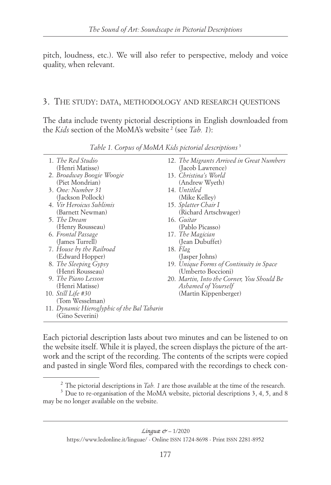pitch, loudness, etc.). We will also refer to perspective, melody and voice quality, when relevant.

#### 3. The study: data, methodology and research questions

The data include twenty pictorial descriptions in English downloaded from the *Kids* section of the MoMA's website 2 (see *Tab. 1*):

| 1. The Red Studio                            | 12. The Migrants Arrived in Great Numbers  |
|----------------------------------------------|--------------------------------------------|
| (Henri Matisse)<br>2. Broadway Boogie Woogie | (Jacob Lawrence)<br>13. Christina's World  |
| (Piet Mondrian)                              | (Andrew Wyeth)                             |
| 3. One: Number 31                            | 14. Untitled                               |
| (Jackson Pollock)                            | (Mike Kelley)                              |
| 4. Vir Heroicus Sublimis                     | 15. Splatter Chair I                       |
| (Barnett Newman)                             | (Richard Artschwager)                      |
| 5. The Dream                                 | 16. Guitar                                 |
| (Henry Rousseau)                             | (Pablo Picasso)                            |
| 6. Frontal Passage                           | 17. The Magician                           |
| (James Turrell)                              | (Jean Dubuffet)                            |
| 7. House by the Railroad                     | 18. Flag                                   |
| (Edward Hopper)                              | (Jasper Johns)                             |
| 8. The Sleeping Gypsy                        | 19. Unique Forms of Continuity in Space    |
| (Henri Rousseau)                             | (Umberto Boccioni)                         |
| 9. The Piano Lesson                          | 20. Martin, Into the Corner, You Should Be |
| (Henri Matisse)                              | Ashamed of Yourself                        |
| 10. <i>Still Life</i> #30                    | (Martin Kippenberger)                      |
| (Tom Wesselman)                              |                                            |
| 11. Dynamic Hieroglyphic of the Bal Tabarin  |                                            |
| (Gino Severini)                              |                                            |

*Table 1. Corpus of MoMA Kids pictorial descriptions*<sup>3</sup>

Each pictorial description lasts about two minutes and can be listened to on the website itself. While it is played, the screen displays the picture of the artwork and the script of the recording. The contents of the scripts were copied and pasted in single Word files, compared with the recordings to check con-

<sup>&</sup>lt;sup>2</sup> The pictorial descriptions in *Tab. 1* are those available at the time of the research.<br><sup>3</sup> Due to re-organisation of the MoMA website, pictorial descriptions 3, 4, 5, and 8

may be no longer available on the website.

[https://www.ledonline.it/linguae/ - Online](https://www.ledonline.it/linguae/) issn 1724-8698 - Print issn 2281-8952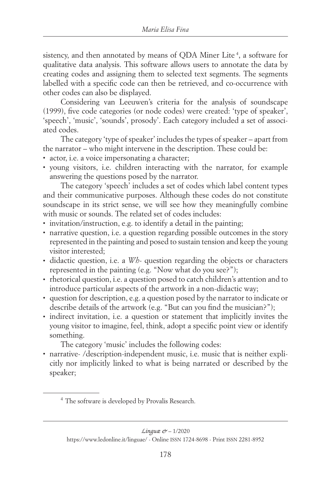sistency, and then annotated by means of QDA Miner Lite<sup>4</sup>, a software for qualitative data analysis. This software allows users to annotate the data by creating codes and assigning them to selected text segments. The segments labelled with a specific code can then be retrieved, and co-occurrence with other codes can also be displayed.

Considering van Leeuwen's criteria for the analysis of soundscape (1999), five code categories (or node codes) were created: 'type of speaker', 'speech', 'music', 'sounds', prosody'. Each category included a set of associated codes.

The category 'type of speaker' includes the types of speaker – apart from the narrator – who might intervene in the description. These could be:

- actor, i.e. a voice impersonating a character;
- young visitors, i.e. children interacting with the narrator, for example answering the questions posed by the narrator.

The category 'speech' includes a set of codes which label content types and their communicative purposes. Although these codes do not constitute soundscape in its strict sense, we will see how they meaningfully combine with music or sounds. The related set of codes includes:

- invitation/instruction, e.g. to identify a detail in the painting;
- narrative question, i.e. a question regarding possible outcomes in the story represented in the painting and posed to sustain tension and keep the young visitor interested;
- didactic question, i.e. a *Wh-* question regarding the objects or characters represented in the painting (e.g. "Now what do you see?");
- rhetorical question, i.e. a question posed to catch children's attention and to introduce particular aspects of the artwork in a non-didactic way;
- question for description, e.g. a question posed by the narrator to indicate or describe details of the artwork (e.g. "But can you find the musician?");
- indirect invitation, i.e. a question or statement that implicitly invites the young visitor to imagine, feel, think, adopt a specific point view or identify something.

The category 'music' includes the following codes:

• narrative- /description-independent music, i.e. music that is neither explicitly nor implicitly linked to what is being narrated or described by the speaker;

<sup>4</sup> The software is developed by Provalis Research.

[https://www.ledonline.it/linguae/ - Online](https://www.ledonline.it/linguae/) issn 1724-8698 - Print issn 2281-8952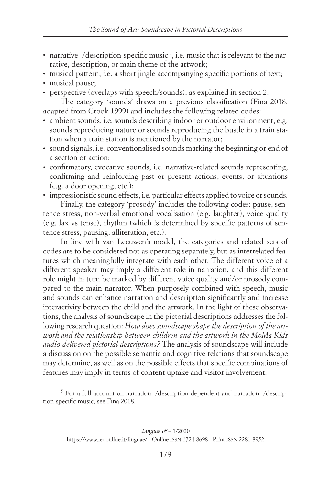- narrative-/description-specific music<sup>5</sup>, i.e. music that is relevant to the narrative, description, or main theme of the artwork;
- musical pattern, i.e. a short jingle accompanying specific portions of text;
- musical pause;
- perspective (overlaps with speech/sounds), as explained in section 2.

The category 'sounds' draws on a previous classification (Fina 2018, adapted from Crook 1999) and includes the following related codes:

- ambient sounds, i.e. sounds describing indoor or outdoor environment, e.g. sounds reproducing nature or sounds reproducing the bustle in a train station when a train station is mentioned by the narrator;
- sound signals, i.e. conventionalised sounds marking the beginning or end of a section or action;
- confirmatory, evocative sounds, i.e. narrative-related sounds representing, confirming and reinforcing past or present actions, events, or situations (e.g. a door opening, etc.);
- impressionistic sound effects, i.e. particular effects applied to voice or sounds.

Finally, the category 'prosody' includes the following codes: pause, sentence stress, non-verbal emotional vocalisation (e.g. laughter), voice quality (e.g. lax vs tense), rhythm (which is determined by specific patterns of sentence stress, pausing, alliteration, etc.).

In line with van Leeuwen's model, the categories and related sets of codes are to be considered not as operating separately, but as interrelated features which meaningfully integrate with each other. The different voice of a different speaker may imply a different role in narration, and this different role might in turn be marked by different voice quality and/or prosody compared to the main narrator. When purposely combined with speech, music and sounds can enhance narration and description significantly and increase interactivity between the child and the artwork. In the light of these observations, the analysis of soundscape in the pictorial descriptions addresses the following research question: *How does soundscape shape the description of the artwork and the relationship between children and the artwork in the MoMa Kids audio-delivered pictorial descriptions?* The analysis of soundscape will include a discussion on the possible semantic and cognitive relations that soundscape may determine, as well as on the possible effects that specific combinations of features may imply in terms of content uptake and visitor involvement.

<sup>&</sup>lt;sup>5</sup> For a full account on narration- /description-dependent and narration- /description-specific music, see Fina 2018.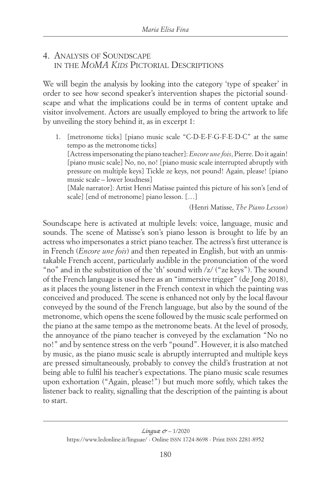#### 4. Analysis of Soundscape in the *MoMA Kids* Pictorial Descriptions

We will begin the analysis by looking into the category 'type of speaker' in order to see how second speaker's intervention shapes the pictorial soundscape and what the implications could be in terms of content uptake and visitor involvement. Actors are usually employed to bring the artwork to life by unveiling the story behind it, as in excerpt 1:

1. [metronome ticks] [piano music scale "C-D-E-F-G-F-E-D-C" at the same tempo as the metronome ticks] [Actress impersonating the piano teacher]: *Encore une fois*, Pierre. Do it again! [piano music scale] No, no, no! [piano music scale interrupted abruptly with pressure on multiple keys] Tickle ze keys, not pound! Again, please! [piano music scale – lower loudness]

 [Male narrator]: Artist Henri Matisse painted this picture of his son's [end of scale] [end of metronome] piano lesson. […]

(Henri Matisse, *The Piano Lesson*)

Soundscape here is activated at multiple levels: voice, language, music and sounds. The scene of Matisse's son's piano lesson is brought to life by an actress who impersonates a strict piano teacher. The actress's first utterance is in French (*Encore une fois*) and then repeated in English, but with an unmistakable French accent, particularly audible in the pronunciation of the word "no" and in the substitution of the 'th' sound with /z/ ("ze keys"). The sound of the French language is used here as an "immersive trigger" (de Jong 2018), as it places the young listener in the French context in which the painting was conceived and produced. The scene is enhanced not only by the local flavour conveyed by the sound of the French language, but also by the sound of the metronome, which opens the scene followed by the music scale performed on the piano at the same tempo as the metronome beats. At the level of prosody, the annoyance of the piano teacher is conveyed by the exclamation "No no no!" and by sentence stress on the verb "pound". However, it is also matched by music, as the piano music scale is abruptly interrupted and multiple keys are pressed simultaneously, probably to convey the child's frustration at not being able to fulfil his teacher's expectations. The piano music scale resumes upon exhortation ("Again, please!") but much more softly, which takes the listener back to reality, signalling that the description of the painting is about to start.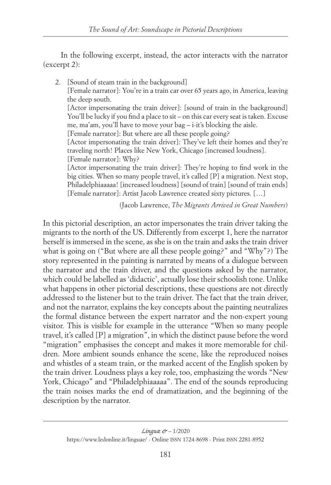In the following excerpt, instead, the actor interacts with the narrator (excerpt 2):

2. [Sound of steam train in the background] [Female narrator]: You're in a train car over 65 years ago, in America, leaving the deep south. [Actor impersonating the train driver]: [sound of train in the background] You'll be lucky if you find a place to sit – on this car every seat is taken. Excuse me, ma'am, you'll have to move your bag – i-it's blocking the aisle. [Female narrator]: But where are all these people going? [Actor impersonating the train driver]: They've left their homes and they're traveling north! Places like New York, Chicago [increased loudness]. [Female narrator]: Why? [Actor impersonating the train driver]: They're hoping to find work in the big cities. When so many people travel, it's called [P] a migration. Next stop, Philadelphiaaaaa! [increased loudness] [sound of train] [sound of train ends] [Female narrator]: Artist Jacob Lawrence created sixty pictures. […]

(Jacob Lawrence, *The Migrants Arrived in Great Numbers*)

In this pictorial description, an actor impersonates the train driver taking the migrants to the north of the US. Differently from excerpt 1, here the narrator herself is immersed in the scene, as she is on the train and asks the train driver what is going on ("But where are all these people going?" and "Why"?) The story represented in the painting is narrated by means of a dialogue between the narrator and the train driver, and the questions asked by the narrator, which could be labelled as 'didactic', actually lose their schoolish tone. Unlike what happens in other pictorial descriptions, these questions are not directly addressed to the listener but to the train driver. The fact that the train driver, and not the narrator, explains the key concepts about the painting neutralizes the formal distance between the expert narrator and the non-expert young visitor. This is visible for example in the utterance "When so many people travel, it's called [P] a migration", in which the distinct pause before the word "migration" emphasises the concept and makes it more memorable for children. More ambient sounds enhance the scene, like the reproduced noises and whistles of a steam train, or the marked accent of the English spoken by the train driver. Loudness plays a key role, too, emphasizing the words "New York, Chicago" and "Philadelphiaaaaa". The end of the sounds reproducing the train noises marks the end of dramatization, and the beginning of the description by the narrator.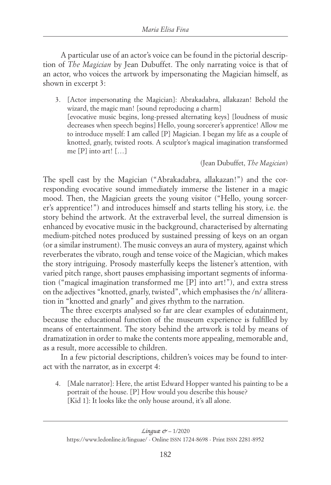A particular use of an actor's voice can be found in the pictorial description of *The Magician* by Jean Dubuffet. The only narrating voice is that of an actor, who voices the artwork by impersonating the Magician himself, as shown in excerpt 3:

3. [Actor impersonating the Magician]: Abrakadabra, allakazan! Behold the wizard, the magic man! [sound reproducing a charm] [evocative music begins, long-pressed alternating keys] [loudness of music decreases when speech begins] Hello, young sorcerer's apprentice! Allow me to introduce myself: I am called [P] Magician. I began my life as a couple of knotted, gnarly, twisted roots. A sculptor's magical imagination transformed me [P] into art! […]

(Jean Dubuffet, *The Magician*)

The spell cast by the Magician ("Abrakadabra, allakazan!") and the corresponding evocative sound immediately immerse the listener in a magic mood. Then, the Magician greets the young visitor ("Hello, young sorcerer's apprentice!") and introduces himself and starts telling his story, i.e. the story behind the artwork. At the extraverbal level, the surreal dimension is enhanced by evocative music in the background, characterised by alternating medium-pitched notes produced by sustained pressing of keys on an organ (or a similar instrument). The music conveys an aura of mystery, against which reverberates the vibrato, rough and tense voice of the Magician, which makes the story intriguing. Prosody masterfully keeps the listener's attention, with varied pitch range, short pauses emphasising important segments of information ("magical imagination transformed me [P] into art!"), and extra stress on the adjectives "knotted, gnarly, twisted", which emphasises the /n/ alliteration in "knotted and gnarly" and gives rhythm to the narration.

The three excerpts analysed so far are clear examples of edutainment, because the educational function of the museum experience is fulfilled by means of entertainment. The story behind the artwork is told by means of dramatization in order to make the contents more appealing, memorable and, as a result, more accessible to children.

In a few pictorial descriptions, children's voices may be found to interact with the narrator, as in excerpt 4:

4. [Male narrator]: Here, the artist Edward Hopper wanted his painting to be a portrait of the house. [P] How would you describe this house? [Kid 1]: It looks like the only house around, it's all alone.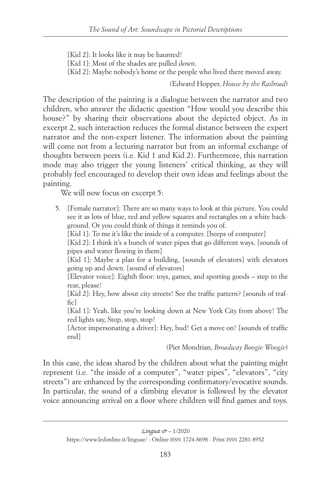[Kid 2]: It looks like it may be haunted!

[Kid 1]: Most of the shades are pulled down.

[Kid 2]: Maybe nobody's home or the people who lived there moved away.

(Edward Hopper, *House by the Railroad*)

The description of the painting is a dialogue between the narrator and two children, who answer the didactic question "How would you describe this house?" by sharing their observations about the depicted object. As in excerpt 2, such interaction reduces the formal distance between the expert narrator and the non-expert listener. The information about the painting will come not from a lecturing narrator but from an informal exchange of thoughts between peers (i.e. Kid 1 and Kid 2). Furthermore, this narration mode may also trigger the young listeners' critical thinking, as they will probably feel encouraged to develop their own ideas and feelings about the painting.

We will now focus on excerpt 5:

5. [Female narrator]: There are so many ways to look at this picture. You could see it as lots of blue, red and yellow squares and rectangles on a white background. Or you could think of things it reminds you of.

[Kid 1]: To me it's like the inside of a computer. [beeps of computer]

 [Kid 2]: I think it's a bunch of water pipes that go different ways. [sounds of pipes and water flowing in them]

[Kid 1]: Maybe a plan for a building, [sounds of elevators] with elevators going up and down. [sound of elevators]

 [Elevator voice]: Eighth floor: toys, games, and sporting goods – step to the rear, please!

 [Kid 2]: Hey, how about city streets! See the traffic pattern? [sounds of traf $f_{\rm I}$ 

 [Kid 1]: Yeah, like you're looking down at New York City from above! The red lights say, Stop, stop, stop!

 [Actor impersonating a driver]: Hey, bud! Get a move on! [sounds of traffic end]

(Piet Mondrian, *Broadway Boogie Woogie*)

In this case, the ideas shared by the children about what the painting might represent (i.e. "the inside of a computer", "water pipes", "elevators", "city streets") are enhanced by the corresponding confirmatory/evocative sounds. In particular, the sound of a climbing elevator is followed by the elevator voice announcing arrival on a floor where children will find games and toys.

[https://www.ledonline.it/linguae/ - Online](https://www.ledonline.it/linguae/) issn 1724-8698 - Print issn 2281-8952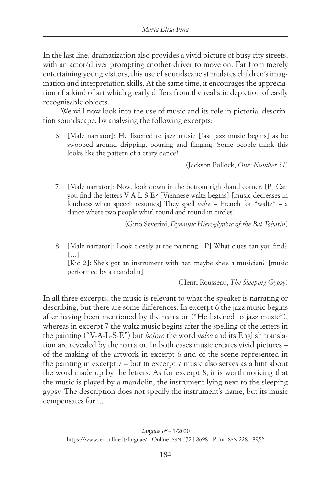In the last line, dramatization also provides a vivid picture of busy city streets, with an actor/driver prompting another driver to move on. Far from merely entertaining young visitors, this use of soundscape stimulates children's imagination and interpretation skills. At the same time, it encourages the appreciation of a kind of art which greatly differs from the realistic depiction of easily recognisable objects.

We will now look into the use of music and its role in pictorial description soundscape, by analysing the following excerpts:

6. [Male narrator]: He listened to jazz music [fast jazz music begins] as he swooped around dripping, pouring and flinging. Some people think this looks like the pattern of a crazy dance!

(Jackson Pollock, *One: Number 31*)

7. [Male narrator]: Now, look down in the bottom right-hand corner. [P] Can you find the letters V-A-L-S-E? [Viennese waltz begins] [music decreases in loudness when speech resumes] They spell *valse* – French for "waltz" – a dance where two people whirl round and round in circles!

(Gino Severini, *Dynamic Hieroglyphic of the Bal Tabarin*)

8. [Male narrator]: Look closely at the painting. [P] What clues can you find?  $[\dots]$ 

 [Kid 2]: She's got an instrument with her, maybe she's a musician? [music performed by a mandolin]

(Henri Rousseau, *The Sleeping Gypsy*)

In all three excerpts, the music is relevant to what the speaker is narrating or describing; but there are some differences. In excerpt 6 the jazz music begins after having been mentioned by the narrator ("He listened to jazz music"), whereas in excerpt 7 the waltz music begins after the spelling of the letters in the painting ("V-A-L-S-E") but *before* the word *valse* and its English translation are revealed by the narrator. In both cases music creates vivid pictures – of the making of the artwork in excerpt 6 and of the scene represented in the painting in excerpt 7 – but in excerpt 7 music also serves as a hint about the word made up by the letters. As for excerpt 8, it is worth noticing that the music is played by a mandolin, the instrument lying next to the sleeping gypsy. The description does not specify the instrument's name, but its music compensates for it.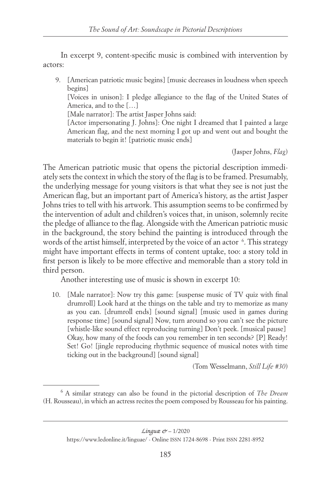In excerpt 9, content-specific music is combined with intervention by actors:

9. [American patriotic music begins] [music decreases in loudness when speech begins]

[Voices in unison]: I pledge allegiance to the flag of the United States of America, and to the […]

[Male narrator]: The artist Jasper Johns said:

 [Actor impersonating J. Johns]: One night I dreamed that I painted a large American flag, and the next morning I got up and went out and bought the materials to begin it! [patriotic music ends]

(Jasper Johns, *Flag*)

The American patriotic music that opens the pictorial description immediately sets the context in which the story of the flag is to be framed. Presumably, the underlying message for young visitors is that what they see is not just the American flag, but an important part of America's history, as the artist Jasper Johns tries to tell with his artwork. This assumption seems to be confirmed by the intervention of adult and children's voices that, in unison, solemnly recite the pledge of alliance to the flag. Alongside with the American patriotic music in the background, the story behind the painting is introduced through the words of the artist himself, interpreted by the voice of an actor <sup>6</sup>. This strategy might have important effects in terms of content uptake, too: a story told in first person is likely to be more effective and memorable than a story told in third person.

Another interesting use of music is shown in excerpt 10:

10. [Male narrator]: Now try this game: [suspense music of TV quiz with final drumroll] Look hard at the things on the table and try to memorize as many as you can. [drumroll ends] [sound signal] [music used in games during response time] [sound signal] Now, turn around so you can't see the picture [whistle-like sound effect reproducing turning] Don't peek. [musical pause] Okay, how many of the foods can you remember in ten seconds? [P] Ready! Set! Go! [jingle reproducing rhythmic sequence of musical notes with time ticking out in the background] [sound signal]

(Tom Wesselmann, *Still Life #30*)

<sup>6</sup> A similar strategy can also be found in the pictorial description of *The Dream* (H. Rousseau), in which an actress recites the poem composed by Rousseau for his painting.

[https://www.ledonline.it/linguae/ - Online](https://www.ledonline.it/linguae/) issn 1724-8698 - Print issn 2281-8952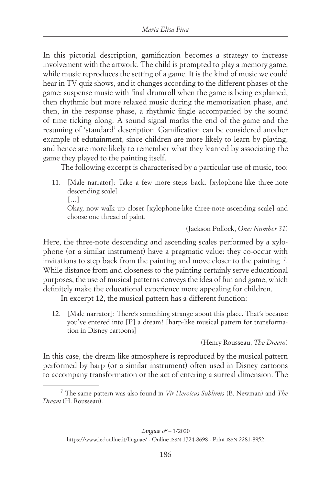In this pictorial description, gamification becomes a strategy to increase involvement with the artwork. The child is prompted to play a memory game, while music reproduces the setting of a game. It is the kind of music we could hear in TV quiz shows, and it changes according to the different phases of the game: suspense music with final drumroll when the game is being explained, then rhythmic but more relaxed music during the memorization phase, and then, in the response phase, a rhythmic jingle accompanied by the sound of time ticking along. A sound signal marks the end of the game and the resuming of 'standard' description. Gamification can be considered another example of edutainment, since children are more likely to learn by playing, and hence are more likely to remember what they learned by associating the game they played to the painting itself.

The following excerpt is characterised by a particular use of music, too:

11. [Male narrator]: Take a few more steps back. [xylophone-like three-note descending scale]  $[\ldots]$ 

 Okay, now walk up closer [xylophone-like three-note ascending scale] and choose one thread of paint.

(Jackson Pollock, *One: Number 31*)

Here, the three-note descending and ascending scales performed by a xylophone (or a similar instrument) have a pragmatic value: they co-occur with invitations to step back from the painting and move closer to the painting 7 . While distance from and closeness to the painting certainly serve educational purposes, the use of musical patterns conveys the idea of fun and game, which definitely make the educational experience more appealing for children.

In excerpt 12, the musical pattern has a different function:

12. [Male narrator]: There's something strange about this place. That's because you've entered into [P] a dream! [harp-like musical pattern for transformation in Disney cartoons]

(Henry Rousseau, *The Dream*)

In this case, the dream-like atmosphere is reproduced by the musical pattern performed by harp (or a similar instrument) often used in Disney cartoons to accompany transformation or the act of entering a surreal dimension. The

<sup>7</sup> The same pattern was also found in *Vir Heroicus Sublimis* (B. Newman) and *The Dream* (H. Rousseau).

[https://www.ledonline.it/linguae/ - Online](https://www.ledonline.it/linguae/) issn 1724-8698 - Print issn 2281-8952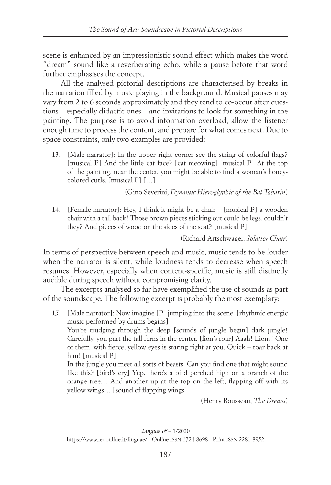scene is enhanced by an impressionistic sound effect which makes the word "dream" sound like a reverberating echo, while a pause before that word further emphasises the concept.

All the analysed pictorial descriptions are characterised by breaks in the narration filled by music playing in the background. Musical pauses may vary from 2 to 6 seconds approximately and they tend to co-occur after questions – especially didactic ones – and invitations to look for something in the painting. The purpose is to avoid information overload, allow the listener enough time to process the content, and prepare for what comes next. Due to space constraints, only two examples are provided:

13. [Male narrator]: In the upper right corner see the string of colorful flags? [musical P] And the little cat face? [cat meowing] [musical P] At the top of the painting, near the center, you might be able to find a woman's honeycolored curls. [musical P] […]

(Gino Severini, *Dynamic Hieroglyphic of the Bal Tabarin*)

14. [Female narrator]: Hey, I think it might be a chair – [musical P] a wooden chair with a tall back! Those brown pieces sticking out could be legs, couldn't they? And pieces of wood on the sides of the seat? [musical P]

(Richard Artschwager, *Splatter Chair*)

In terms of perspective between speech and music, music tends to be louder when the narrator is silent, while loudness tends to decrease when speech resumes. However, especially when content-specific, music is still distinctly audible during speech without compromising clarity.

The excerpts analysed so far have exemplified the use of sounds as part of the soundscape. The following excerpt is probably the most exemplary:

15. [Male narrator]: Now imagine [P] jumping into the scene. [rhythmic energic music performed by drums begins]

You're trudging through the deep [sounds of jungle begin] dark jungle! Carefully, you part the tall ferns in the center. [lion's roar] Aaah! Lions! One of them, with fierce, yellow eyes is staring right at you. Quick – roar back at him! [musical P]

 In the jungle you meet all sorts of beasts. Can you find one that might sound like this? [bird's cry] Yep, there's a bird perched high on a branch of the orange tree… And another up at the top on the left, flapping off with its yellow wings… [sound of flapping wings]

(Henry Rousseau, *The Dream*)

[https://www.ledonline.it/linguae/ - Online](https://www.ledonline.it/linguae/) issn 1724-8698 - Print issn 2281-8952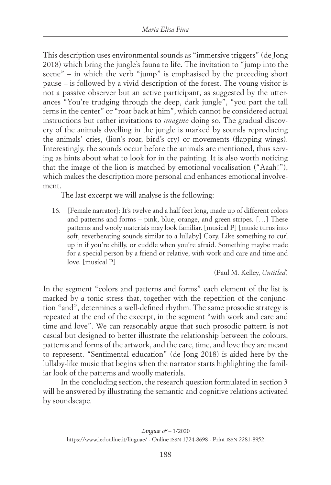This description uses environmental sounds as "immersive triggers" (de Jong 2018) which bring the jungle's fauna to life. The invitation to "jump into the scene" – in which the verb "jump" is emphasised by the preceding short pause – is followed by a vivid description of the forest. The young visitor is not a passive observer but an active participant, as suggested by the utterances "You're trudging through the deep, dark jungle", "you part the tall ferns in the center" or "roar back at him", which cannot be considered actual instructions but rather invitations to *imagine* doing so. The gradual discovery of the animals dwelling in the jungle is marked by sounds reproducing the animals' cries, (lion's roar, bird's cry) or movements (flapping wings). Interestingly, the sounds occur before the animals are mentioned, thus serving as hints about what to look for in the painting. It is also worth noticing that the image of the lion is matched by emotional vocalisation ("Aaah!"), which makes the description more personal and enhances emotional involvement.

The last excerpt we will analyse is the following:

16. [Female narrator]: It's twelve and a half feet long, made up of different colors and patterns and forms – pink, blue, orange, and green stripes. […] These patterns and wooly materials may look familiar. [musical P] [music turns into soft, reverberating sounds similar to a lullaby] Cozy. Like something to curl up in if you're chilly, or cuddle when you're afraid. Something maybe made for a special person by a friend or relative, with work and care and time and love. [musical P]

(Paul M. Kelley, *Untitled*)

In the segment "colors and patterns and forms" each element of the list is marked by a tonic stress that, together with the repetition of the conjunction "and", determines a well-defined rhythm. The same prosodic strategy is repeated at the end of the excerpt, in the segment "with work and care and time and love". We can reasonably argue that such prosodic pattern is not casual but designed to better illustrate the relationship between the colours, patterns and forms of the artwork, and the care, time, and love they are meant to represent. "Sentimental education" (de Jong 2018) is aided here by the lullaby-like music that begins when the narrator starts highlighting the familiar look of the patterns and woolly materials.

In the concluding section, the research question formulated in section 3 will be answered by illustrating the semantic and cognitive relations activated by soundscape.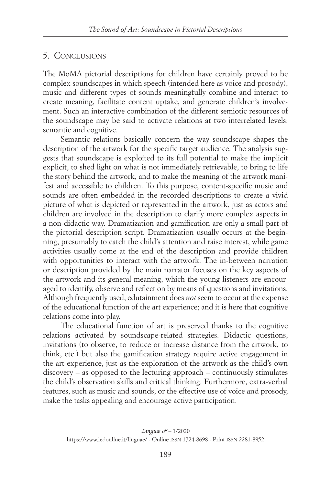### 5. Conclusions

The MoMA pictorial descriptions for children have certainly proved to be complex soundscapes in which speech (intended here as voice and prosody), music and different types of sounds meaningfully combine and interact to create meaning, facilitate content uptake, and generate children's involvement. Such an interactive combination of the different semiotic resources of the soundscape may be said to activate relations at two interrelated levels: semantic and cognitive.

Semantic relations basically concern the way soundscape shapes the description of the artwork for the specific target audience. The analysis suggests that soundscape is exploited to its full potential to make the implicit explicit, to shed light on what is not immediately retrievable, to bring to life the story behind the artwork, and to make the meaning of the artwork manifest and accessible to children. To this purpose, content-specific music and sounds are often embedded in the recorded descriptions to create a vivid picture of what is depicted or represented in the artwork, just as actors and children are involved in the description to clarify more complex aspects in a non-didactic way. Dramatization and gamification are only a small part of the pictorial description script. Dramatization usually occurs at the beginning, presumably to catch the child's attention and raise interest, while game activities usually come at the end of the description and provide children with opportunities to interact with the artwork. The in-between narration or description provided by the main narrator focuses on the key aspects of the artwork and its general meaning, which the young listeners are encouraged to identify, observe and reflect on by means of questions and invitations. Although frequently used, edutainment does *not* seem to occur at the expense of the educational function of the art experience; and it is here that cognitive relations come into play.

The educational function of art is preserved thanks to the cognitive relations activated by soundscape-related strategies. Didactic questions, invitations (to observe, to reduce or increase distance from the artwork, to think, etc.) but also the gamification strategy require active engagement in the art experience, just as the exploration of the artwork as the child's own discovery – as opposed to the lecturing approach – continuously stimulates the child's observation skills and critical thinking. Furthermore, extra-verbal features, such as music and sounds, or the effective use of voice and prosody, make the tasks appealing and encourage active participation.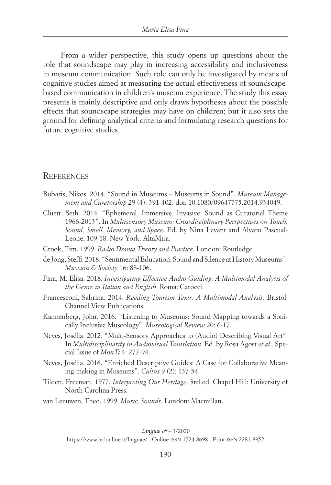From a wider perspective, this study opens up questions about the role that soundscape may play in increasing accessibility and inclusiveness in museum communication. Such role can only be investigated by means of cognitive studies aimed at measuring the actual effectiveness of soundscapebased communication in children's museum experience. The study this essay presents is mainly descriptive and only draws hypotheses about the possible effects that soundscape strategies may have on children; but it also sets the ground for defining analytical criteria and formulating research questions for future cognitive studies.

#### **REFERENCES**

- Bubaris, Nikos. 2014. "Sound in Museums Museums in Sound". *Museum Management and Curatorship* 29 (4): 391-402. doi: 10.1080/09647775.2014.934049.
- Cluett, Seth. 2014. "Ephemeral, Immersive, Invasive: Sound as Curatorial Theme 1966-2013". In *Multisensory Museum: Crossdisciplinary Perspectives on Touch, Sound, Smell, Memory, and Space*. Ed. by Nina Levant and Alvaro Pascual-Leone, 109-18. New York: AltaMira.
- Crook, Tim. 1999. *Radio Drama Theory and Practice*. London: Routledge.
- de Jong, Steffi. 2018. "Sentimental Education: Sound and Silence at History Museums". *Museum & Society* 16: 88-106.
- Fina, M. Elisa. 2018*. Investigating Effective Audio Guiding: A Multimodal Analysis of the Genre in Italian and English*. Roma: Carocci.
- Francesconi, Sabrina. 2014. *Reading Tourism Texts: A Multimodal Analysis*. Bristol: Channel View Publications.
- Kannenberg, John. 2016. "Listening to Museums: Sound Mapping towards a Sonically Inclusive Museology". *Museological Review* 20: 6-17.
- Neves, Josélia. 2012. "Multi-Sensory Approaches to (Audio) Describing Visual Art". In *Multidisciplinarity in Audiovisual Translation*. Ed. by Rosa Agost *et al.*, Special Issue of *MonTi* 4: 277-94.
- Neves, Josélia. 2016. "Enriched Descriptive Guides: A Case for Collaborative Meaning-making in Museums". *Cultus* 9 (2): 137-54.
- Tilden, Freeman. 1977. *Interpreting Our Heritage*. 3rd ed. Chapel Hill: University of North Carolina Press.
- van Leeuwen, Theo. 1999. *Music, Sounds*. London: Macmillan.

[https://www.ledonline.it/linguae/ - Online](https://www.ledonline.it/linguae/) issn 1724-8698 - Print issn 2281-8952